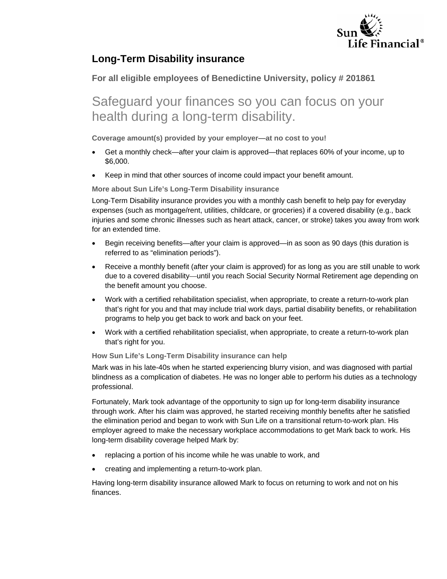

## **Long-Term Disability insurance**

## **For all eligible employees of Benedictine University, policy # 201861**

## Safeguard your finances so you can focus on your health during a long-term disability.

**Coverage amount(s) provided by your employer—at no cost to you!**

- Get a monthly check—after your claim is approved—that replaces 60% of your income, up to \$6,000.
- Keep in mind that other sources of income could impact your benefit amount.

**More about Sun Life's Long-Term Disability insurance** 

Long-Term Disability insurance provides you with a monthly cash benefit to help pay for everyday expenses (such as mortgage/rent, utilities, childcare, or groceries) if a covered disability (e.g., back injuries and some chronic illnesses such as heart attack, cancer, or stroke) takes you away from work for an extended time.

- Begin receiving benefits—after your claim is approved—in as soon as 90 days (this duration is referred to as "elimination periods").
- Receive a monthly benefit (after your claim is approved) for as long as you are still unable to work due to a covered disability—until you reach Social Security Normal Retirement age depending on the benefit amount you choose.
- Work with a certified rehabilitation specialist, when appropriate, to create a return-to-work plan that's right for you and that may include trial work days, partial disability benefits, or rehabilitation programs to help you get back to work and back on your feet.
- Work with a certified rehabilitation specialist, when appropriate, to create a return-to-work plan that's right for you.

## **How Sun Life's Long-Term Disability insurance can help**

Mark was in his late-40s when he started experiencing blurry vision, and was diagnosed with partial blindness as a complication of diabetes. He was no longer able to perform his duties as a technology professional.

Fortunately, Mark took advantage of the opportunity to sign up for long-term disability insurance through work. After his claim was approved, he started receiving monthly benefits after he satisfied the elimination period and began to work with Sun Life on a transitional return-to-work plan. His employer agreed to make the necessary workplace accommodations to get Mark back to work. His long-term disability coverage helped Mark by:

- replacing a portion of his income while he was unable to work, and
- creating and implementing a return-to-work plan.

Having long-term disability insurance allowed Mark to focus on returning to work and not on his finances.